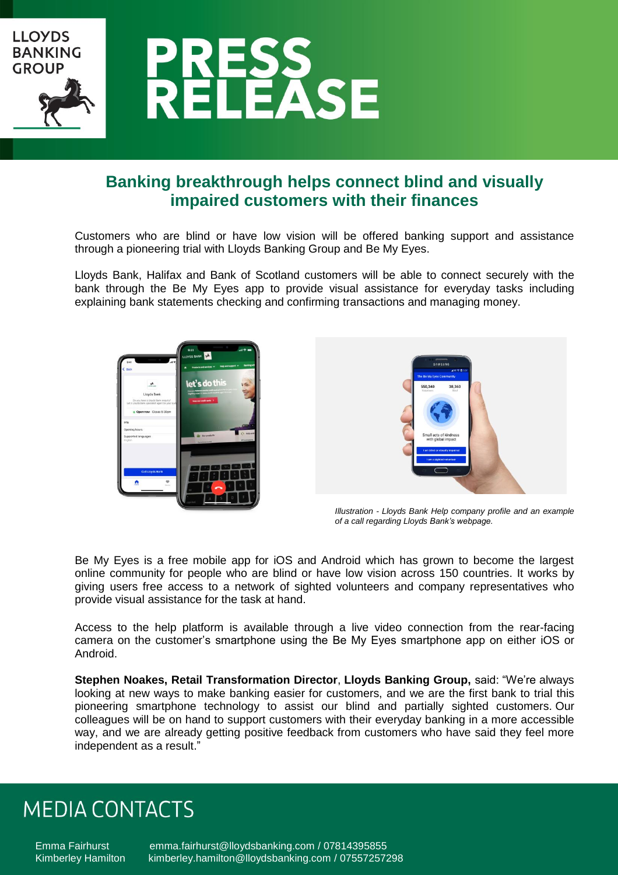

### **Banking breakthrough helps connect blind and visually impaired customers with their finances**

Customers who are blind or have low vision will be offered banking support and assistance through a pioneering trial with Lloyds Banking Group and Be My Eyes.

Lloyds Bank, Halifax and Bank of Scotland customers will be able to connect securely with the bank through the Be My Eyes app to provide visual assistance for everyday tasks including explaining bank statements checking and confirming transactions and managing money.





*Illustration - Lloyds Bank Help company profile and an example of a call regarding Lloyds Bank's webpage.*

Be My Eyes is a free mobile app for iOS and Android which has grown to become the largest online community for people who are blind or have low vision across 150 countries. It works by giving users free access to a network of sighted volunteers and company representatives who provide visual assistance for the task at hand.

Access to the help platform is available through a live video connection from the rear-facing camera on the customer's smartphone using the Be My Eyes smartphone app on either iOS or Android.

**Stephen Noakes, Retail Transformation Director**, **Lloyds Banking Group,** said: "We're always looking at new ways to make banking easier for customers, and we are the first bank to trial this pioneering smartphone technology to assist our blind and partially sighted customers. Our colleagues will be on hand to support customers with their everyday banking in a more accessible way, and we are already getting positive feedback from customers who have said they feel more independent as a result."

## **MEDIA CONTACTS**

Emma Fairhurst [emma.fairhurst@lloydsbanking.com](mailto:emma.fairhurst@lloydsbanking.com) / 07814395855 Kimberley Hamilton [kimberley.hamilton@lloydsbanking.com](mailto:kimberley.hamilton@lloydsbanking.com) / [07557257298](http://colleaguedirectory.intranet.group/Pages/peopleresults.aspx?k=%22%2B447557257298%22)